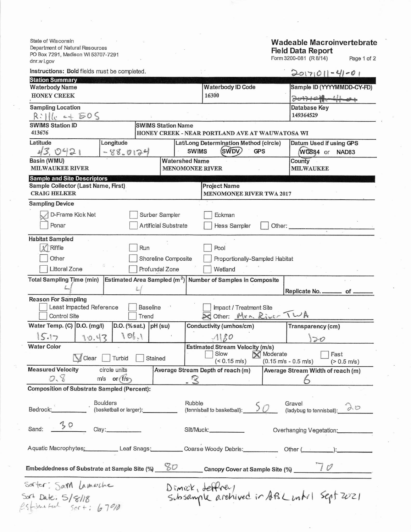State of Wisconsin Department of Natural Resources PO Box 7291, Madison WI 53707-7291 dnr.w i.gov

 $\mathcal{Q}$ 

## Wadeable Macroinvertebrate<br>Field Data Report<br>Form 3200-081 (R 8/14) Page 1 of 2

| Instructions: Bold fields must be completed.                                                                                              |                           |                                                                  | $2017011 - 41 - 01$                                                          |  |  |  |  |
|-------------------------------------------------------------------------------------------------------------------------------------------|---------------------------|------------------------------------------------------------------|------------------------------------------------------------------------------|--|--|--|--|
| <b>Station Summary</b>                                                                                                                    |                           |                                                                  |                                                                              |  |  |  |  |
| <b>Waterbody Name</b><br><b>HONEY CREEK</b>                                                                                               |                           | <b>Waterbody ID Code</b><br>16300                                | Sample ID (YYYYMMDD-CY-FD)                                                   |  |  |  |  |
|                                                                                                                                           |                           |                                                                  | 20171011-4104                                                                |  |  |  |  |
| <b>Sampling Location</b><br>$R:   _{C}$ of $EOS$                                                                                          | Database Key<br>149364529 |                                                                  |                                                                              |  |  |  |  |
| <b>SWIMS Station ID</b>                                                                                                                   | <b>SWIMS Station Name</b> |                                                                  |                                                                              |  |  |  |  |
| 413676                                                                                                                                    |                           | HONEY CREEK - NEAR PORTLAND AVE AT WAUWATOSA WI                  |                                                                              |  |  |  |  |
| Latitude<br>Longitude<br>43,0421                                                                                                          | $-88.0124$                | Lat/Long Determination Method (circle)<br>(SWDV)<br><b>SWIMS</b> | Datum Used if using GPS<br><b>GPS</b><br>WGS84 or NAD83                      |  |  |  |  |
| Basin (WMU)                                                                                                                               |                           | <b>Watershed Name</b>                                            | County                                                                       |  |  |  |  |
| <b>MILWAUKEE RIVER</b>                                                                                                                    |                           | <b>MENOMONEE RIVER</b>                                           | <b>MILWAUKEE</b>                                                             |  |  |  |  |
| <b>Sample and Site Descriptors</b>                                                                                                        |                           |                                                                  |                                                                              |  |  |  |  |
| Sample Collector (Last Name, First)                                                                                                       |                           | <b>Project Name</b>                                              |                                                                              |  |  |  |  |
| <b>CRAIG HELKER</b>                                                                                                                       |                           | MENOMONEE RIVER TWA 2017                                         |                                                                              |  |  |  |  |
| <b>Sampling Device</b>                                                                                                                    |                           |                                                                  |                                                                              |  |  |  |  |
| D-Frame Kick Net                                                                                                                          | Surber Sampler            | Eckman                                                           |                                                                              |  |  |  |  |
| Ponar                                                                                                                                     | Artificial Substrate      | Hess Sampler                                                     |                                                                              |  |  |  |  |
|                                                                                                                                           |                           |                                                                  | Other:                                                                       |  |  |  |  |
| <b>Habitat Sampled</b>                                                                                                                    |                           |                                                                  |                                                                              |  |  |  |  |
| $x$ Riffle                                                                                                                                | Run                       | Pool                                                             |                                                                              |  |  |  |  |
| Other                                                                                                                                     | Shoreline Composite       | Proportionally-Sampled Habitat                                   |                                                                              |  |  |  |  |
| Littoral Zone                                                                                                                             | Profundal Zone            | Wetland                                                          |                                                                              |  |  |  |  |
|                                                                                                                                           |                           |                                                                  |                                                                              |  |  |  |  |
| <b>Total Sampling Time (min)</b>                                                                                                          |                           | Estimated Area Sampled $(m^2)$ Number of Samples in Composite    | Replicate No.<br>of                                                          |  |  |  |  |
| <b>Reason For Sampling</b>                                                                                                                |                           |                                                                  |                                                                              |  |  |  |  |
| Least Impacted Reference                                                                                                                  | <b>Baseline</b>           | Impact / Treatment Site                                          |                                                                              |  |  |  |  |
| Control Site                                                                                                                              | Trend                     |                                                                  | Other: Men. River TWA                                                        |  |  |  |  |
| Water Temp. (C) D.O. (mg/l)                                                                                                               | D.O. (% sat.) $pH$ (su)   | Conductivity (umhos/cm)                                          | Transparency (cm)                                                            |  |  |  |  |
| 15.17<br>10.43                                                                                                                            | 1011                      | $\mathcal{A}$ $\mathcal{B}$                                      | $\overline{\partial}0$                                                       |  |  |  |  |
| <b>Water Color</b>                                                                                                                        |                           | <b>Estimated Stream Velocity (m/s)</b>                           |                                                                              |  |  |  |  |
| Clear<br>Turbid                                                                                                                           | Stained                   | Slow                                                             | Moderate<br>Fast                                                             |  |  |  |  |
|                                                                                                                                           |                           | $(< 0.15$ m/s)                                                   | $(0.15 \text{ m/s} - 0.5 \text{ m/s})$<br>$(> 0.5 \text{ m/s})$              |  |  |  |  |
| <b>Measured Velocity</b><br>circle units                                                                                                  |                           | Average Stream Depth of reach (m)                                | Average Stream Width of reach (m)                                            |  |  |  |  |
| 0.8<br>$m/s$ or $f/s$                                                                                                                     |                           | $\sim$ 3                                                         |                                                                              |  |  |  |  |
| <b>Composition of Substrate Sampled (Percent):</b>                                                                                        |                           |                                                                  |                                                                              |  |  |  |  |
|                                                                                                                                           |                           |                                                                  |                                                                              |  |  |  |  |
|                                                                                                                                           |                           | Rubble<br>(tennisball to basketball): $50$                       | Gravel<br>Gravel<br>(ladybug to tennisball): $\partial \varnothing$          |  |  |  |  |
|                                                                                                                                           |                           |                                                                  |                                                                              |  |  |  |  |
| $30$ Clay:<br>Sand:                                                                                                                       |                           |                                                                  |                                                                              |  |  |  |  |
|                                                                                                                                           |                           |                                                                  | Overhanging Vegetation:                                                      |  |  |  |  |
|                                                                                                                                           |                           |                                                                  |                                                                              |  |  |  |  |
|                                                                                                                                           |                           |                                                                  | Aquatic Macrophytes: Leaf Snags: Coarse Woody Debris: Other (Communication): |  |  |  |  |
| Embeddedness of Substrate at Sample Site (%) $\frac{\mathcal{L}D}{\mathcal{L}D}$ Canopy Cover at Sample Site (%) $\frac{1}{\mathcal{L}D}$ |                           |                                                                  |                                                                              |  |  |  |  |
| Sorter: Sam Lamache                                                                                                                       |                           | Dimick, deffrey                                                  |                                                                              |  |  |  |  |
|                                                                                                                                           |                           |                                                                  | Subsample archived in ABL unto 1 Sept 2021                                   |  |  |  |  |
| $504$ Date: $5/8/18$<br>$H_{\text{true}} + u \leftarrow 505 + 6700$                                                                       |                           |                                                                  |                                                                              |  |  |  |  |
|                                                                                                                                           |                           |                                                                  |                                                                              |  |  |  |  |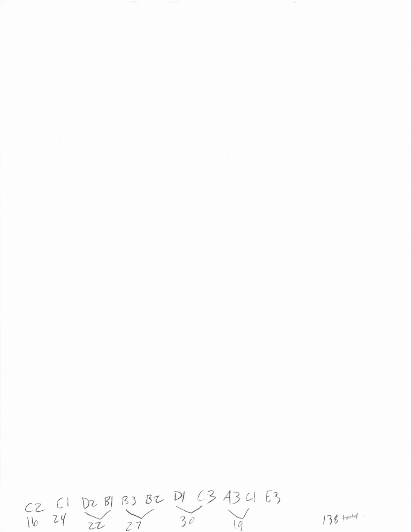$CZ$  El DZ BJ B3 BZ DJ C3 43 U E3<br>16 24 22 27 30 138 testal